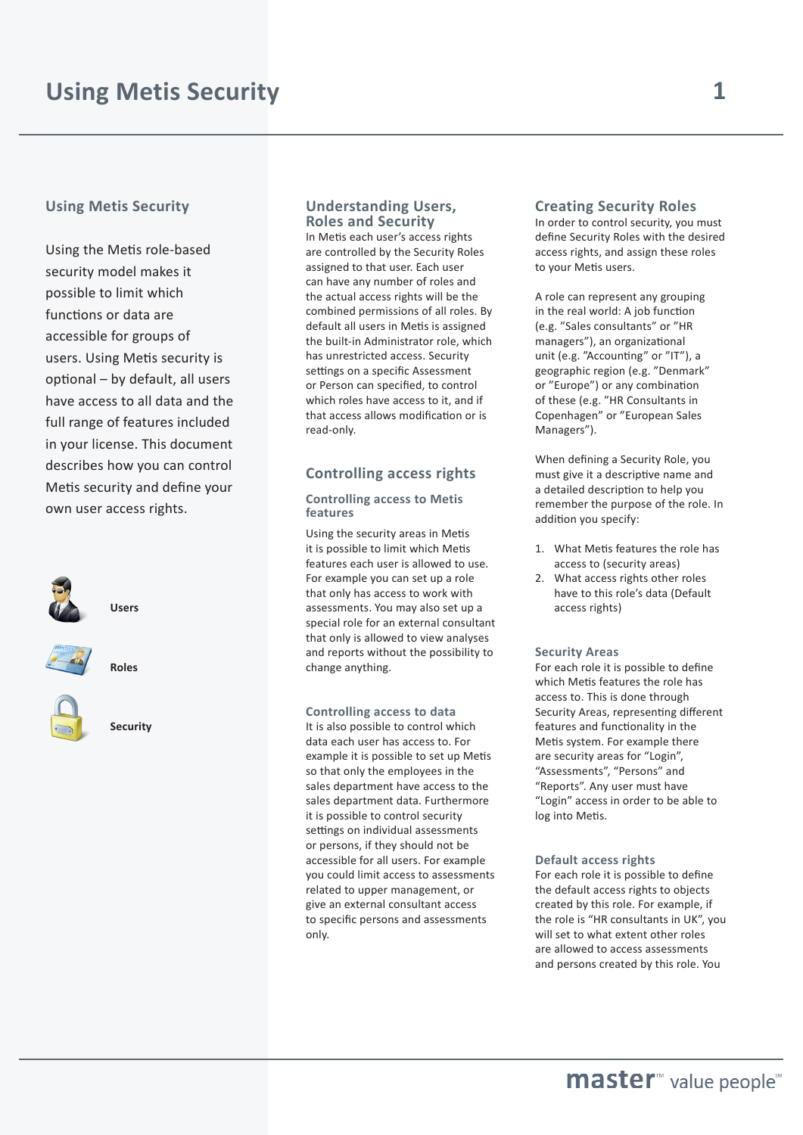## **Using Metis Security**

Using the Metis role-based security model makes it possible to limit which functions or data are accessible for groups of users. Using Metis security is optional – by default, all users have access to all data and the full range of features included in your license. This document describes how you can control Metis security and define your own user access rights.







**Roles**

## **Security**

## **Understanding Users, Roles and Security**

In Metis each user's access rights are controlled by the Security Roles assigned to that user. Each user can have any number of roles and the actual access rights will be the combined permissions of all roles. By default all users in Metis is assigned the built-in Administrator role, which has unrestricted access. Security settings on a specific Assessment or Person can specified, to control which roles have access to it, and if that access allows modification or is read-only.

## **Controlling access rights**

#### **Controlling access to Metis features**

Using the security areas in Metis it is possible to limit which Metis features each user is allowed to use. For example you can set up a role that only has access to work with assessments. You may also set up a special role for an external consultant that only is allowed to view analyses and reports without the possibility to change anything.

#### **Controlling access to data**

It is also possible to control which data each user has access to. For example it is possible to set up Metis so that only the employees in the sales department have access to the sales department data. Furthermore it is possible to control security settings on individual assessments or persons, if they should not be accessible for all users. For example you could limit access to assessments related to upper management, or give an external consultant access to specific persons and assessments only.

## **Creating Security Roles**

In order to control security, you must define Security Roles with the desired access rights, and assign these roles to your Metis users.

A role can represent any grouping in the real world: A job function (e.g. "Sales consultants" or "HR managers"), an organizational unit (e.g. "Accounting" or "IT"), a geographic region (e.g. "Denmark" or "Europe") or any combination of these (e.g. "HR Consultants in Copenhagen" or "European Sales Managers").

When defining a Security Role, you must give it a descriptive name and a detailed description to help you remember the purpose of the role. In addition you specify:

- 1. What Metis features the role has access to (security areas)
- 2. What access rights other roles have to this role's data (Default access rights)

#### **Security Areas**

For each role it is possible to define which Metis features the role has access to. This is done through Security Areas, representing different features and functionality in the Metis system. For example there are security areas for "Login", "Assessments", "Persons" and "Reports". Any user must have "Login" access in order to be able to log into Metis.

#### **Default access rights**

For each role it is possible to define the default access rights to objects created by this role. For example, if the role is "HR consultants in UK", you will set to what extent other roles are allowed to access assessments and persons created by this role. You